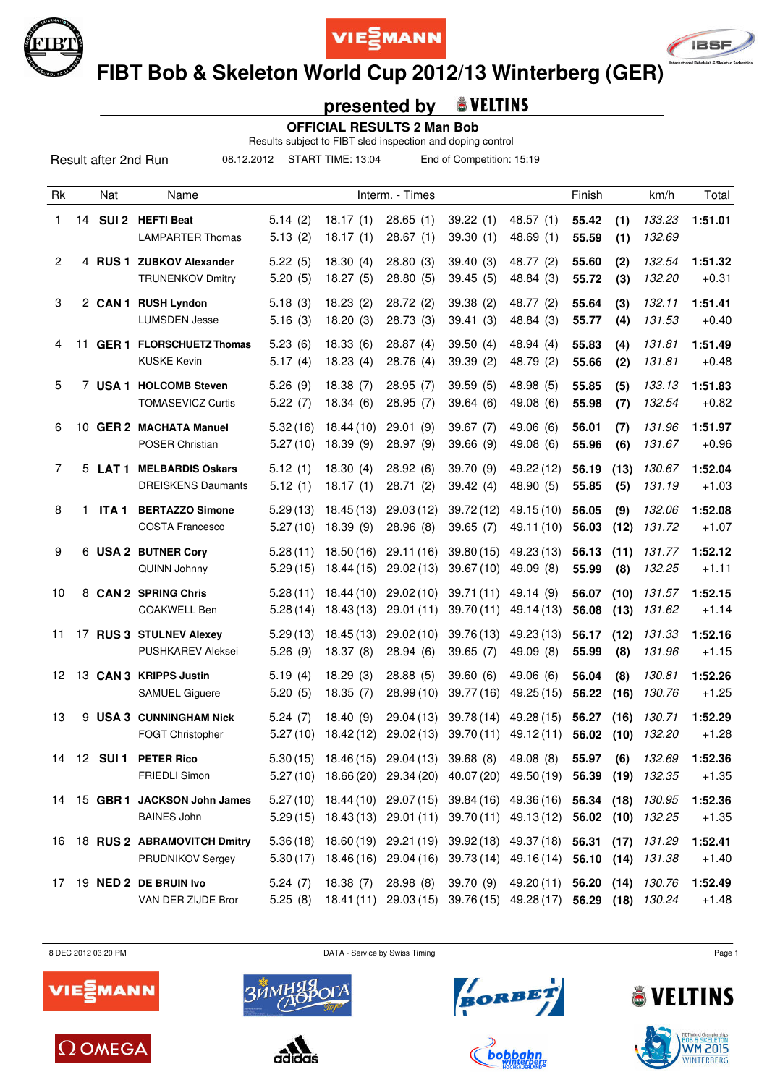





 **FIBT Bob & Skeleton World Cup 2012/13 Winterberg (GER)**

### **presented by**

 **OFFICIAL RESULTS 2 Man Bob**

Results subject to FIBT sled inspection and doping control

08.12.2012 START TIME: 13:04 End of Competition: 15:19

| Rk             |    | Nat              | Name                                                  |                      |                        | Interm. - Times                                                                                                                               |                        |                         | Finish         |              | km/h             | Total              |
|----------------|----|------------------|-------------------------------------------------------|----------------------|------------------------|-----------------------------------------------------------------------------------------------------------------------------------------------|------------------------|-------------------------|----------------|--------------|------------------|--------------------|
| 1              |    |                  | 14 SUI 2 HEFTI Beat<br><b>LAMPARTER Thomas</b>        | 5.14(2)<br>5.13(2)   | 18.17(1)<br>18.17(1)   | 28.65(1)<br>28.67(1)                                                                                                                          | 39.22(1)<br>39.30(1)   | 48.57 (1)<br>48.69(1)   | 55.42<br>55.59 | (1)<br>(1)   | 133.23<br>132.69 | 1:51.01            |
| $\overline{2}$ |    |                  | 4 RUS 1 ZUBKOV Alexander<br><b>TRUNENKOV Dmitry</b>   | 5.22(5)<br>5.20(5)   | 18.30(4)<br>18.27(5)   | 28.80(3)<br>28.80(5)                                                                                                                          | 39.40(3)<br>39.45(5)   | 48.77 (2)<br>48.84 (3)  | 55.60<br>55.72 | (2)<br>(3)   | 132.54<br>132.20 | 1:51.32<br>$+0.31$ |
| 3              |    |                  | 2 CAN 1 RUSH Lyndon<br><b>LUMSDEN Jesse</b>           | 5.18(3)<br>5.16(3)   | 18.23(2)<br>18.20(3)   | 28.72(2)<br>28.73(3)                                                                                                                          | 39.38(2)<br>39.41(3)   | 48.77 (2)<br>48.84 (3)  | 55.64<br>55.77 | (3)<br>(4)   | 132.11<br>131.53 | 1:51.41<br>$+0.40$ |
| 4              | 11 |                  | <b>GER 1 FLORSCHUETZ Thomas</b><br><b>KUSKE Kevin</b> | 5.23(6)<br>5.17(4)   | 18.33(6)<br>18.23(4)   | 28.87(4)<br>28.76 (4)                                                                                                                         | 39.50(4)<br>39.39(2)   | 48.94 (4)<br>48.79 (2)  | 55.83<br>55.66 | (4)<br>(2)   | 131.81<br>131.81 | 1:51.49<br>$+0.48$ |
| 5              |    |                  | 7 USA 1 HOLCOMB Steven<br><b>TOMASEVICZ Curtis</b>    | 5.26(9)<br>5.22(7)   | 18.38(7)<br>18.34(6)   | 28.95(7)<br>28.95(7)                                                                                                                          | 39.59(5)<br>39.64(6)   | 48.98 (5)<br>49.08 (6)  | 55.85<br>55.98 | (5)<br>(7)   | 133.13<br>132.54 | 1:51.83<br>$+0.82$ |
| 6              |    |                  | 10 GER 2 MACHATA Manuel<br>POSER Christian            | 5.32(16)<br>5.27(10) | 18.44 (10)<br>18.39(9) | 29.01(9)<br>28.97 (9)                                                                                                                         | 39.67(7)<br>39.66 (9)  | 49.06 (6)<br>49.08 (6)  | 56.01<br>55.96 | (7)<br>(6)   | 131.96<br>131.67 | 1:51.97<br>$+0.96$ |
| 7              |    |                  | 5 LAT 1 MELBARDIS Oskars<br><b>DREISKENS Daumants</b> | 5.12(1)<br>5.12(1)   | 18.30(4)<br>18.17(1)   | 28.92(6)<br>28.71(2)                                                                                                                          | 39.70 (9)<br>39.42(4)  | 49.22 (12)<br>48.90 (5) | 56.19<br>55.85 | (13)<br>(5)  | 130.67<br>131.19 | 1:52.04<br>$+1.03$ |
| 8              | 1. | ITA <sub>1</sub> | <b>BERTAZZO Simone</b><br><b>COSTA Francesco</b>      | 5.29(13)<br>5.27(10) | 18.45(13)<br>18.39(9)  | 29.03(12)<br>28.96(8)                                                                                                                         | 39.72 (12)<br>39.65(7) | 49.15(10)<br>49.11 (10) | 56.05<br>56.03 | (9)<br>(12)  | 132.06<br>131.72 | 1:52.08<br>$+1.07$ |
| 9              |    |                  | 6 USA 2 BUTNER Cory<br>QUINN Johnny                   | 5.28(11)<br>5.29(15) | 18.50(16)<br>18.44(15) | 29.11(16)<br>29.02(13)                                                                                                                        | 39.80(15)<br>39.67(10) | 49.23 (13)<br>49.09 (8) | 56.13<br>55.99 | (11)<br>(8)  | 131.77<br>132.25 | 1:52.12<br>$+1.11$ |
| 10             | 8  |                  | <b>CAN 2 SPRING Chris</b><br><b>COAKWELL Ben</b>      | 5.28(11)<br>5.28(14) | 18.44(10)<br>18.43(13) | 29.02(10)<br>29.01(11)                                                                                                                        | 39.71(11)<br>39.70(11) | 49.14(9)<br>49.14 (13)  | 56.07<br>56.08 | (10)<br>(13) | 131.57<br>131.62 | 1:52.15<br>$+1.14$ |
| 11             |    |                  | 17 RUS 3 STULNEV Alexey<br><b>PUSHKAREV Aleksei</b>   | 5.29(13)<br>5.26(9)  | 18.45(13)<br>18.37(8)  | 29.02(10)<br>28.94(6)                                                                                                                         | 39.76 (13)<br>39.65(7) | 49.23 (13)<br>49.09 (8) | 56.17<br>55.99 | (12)<br>(8)  | 131.33<br>131.96 | 1:52.16<br>$+1.15$ |
| 12             |    |                  | 13 CAN 3 KRIPPS Justin<br><b>SAMUEL Giguere</b>       | 5.19(4)<br>5.20(5)   | 18.29(3)<br>18.35(7)   | 28.88(5)<br>28.99(10)                                                                                                                         | 39.60(6)<br>39.77 (16) | 49.06 (6)<br>49.25 (15) | 56.04<br>56.22 | (8)<br>(16)  | 130.81<br>130.76 | 1:52.26<br>$+1.25$ |
| 13             |    |                  | 9 USA 3 CUNNINGHAM Nick<br>FOGT Christopher           | 5.24(7)<br>5.27(10)  | 18.40(9)<br>18.42 (12) | 29.04(13)<br>29.02(13)                                                                                                                        | 39.78(14)<br>39.70(11) | 49.28 (15)<br>49.12(11) | 56.27<br>56.02 | (16)<br>(10) | 130.71<br>132.20 | 1:52.29<br>$+1.28$ |
| 14             |    | 12 <b>SUI 1</b>  | <b>PETER Rico</b><br><b>FRIEDLI Simon</b>             | 5.30(15)             | 18.46 (15)             | 29.04 (13) 39.68 (8)<br>5.27(10) 18.66(20) 29.34(20) 40.07(20) 49.50(19) 56.39 (19) 132.35                                                    |                        | 49.08(8)                | 55.97          | (6)          | 132.69           | 1:52.36<br>$+1.35$ |
|                |    |                  | 14 15 GBR 1 JACKSON John James<br><b>BAINES John</b>  |                      |                        | 5.27(10) 18.44(10) 29.07(15) 39.84(16) 49.36(16) 56.34 (18) 130.95<br>5.29 (15) 18.43 (13) 29.01 (11) 39.70 (11) 49.13 (12) 56.02 (10) 132.25 |                        |                         |                |              |                  | 1:52.36<br>$+1.35$ |
| 16             |    |                  | 18 RUS 2 ABRAMOVITCH Dmitry<br>PRUDNIKOV Sergey       |                      |                        | 5.36 (18) 18.60 (19) 29.21 (19) 39.92 (18) 49.37 (18) 56.31<br>5.30 (17) 18.46 (16) 29.04 (16) 39.73 (14) 49.16 (14) 56.10 (14)               |                        |                         |                | (17)         | 131.29<br>131.38 | 1:52.41<br>$+1.40$ |
| 17             |    |                  | 19 NED 2 DE BRUIN Ivo<br>VAN DER ZIJDE Bror           | 5.24(7)<br>5.25(8)   | 18.38(7)               | 28.98(8)<br>18.41 (11) 29.03 (15) 39.76 (15) 49.28 (17) 56.29 (18) 130.24                                                                     | 39.70 (9)              | 49.20 (11) 56.20 (14)   |                |              | 130.76           | 1:52.49<br>$+1.48$ |

8 DEC 2012 03:20 PM Page 1













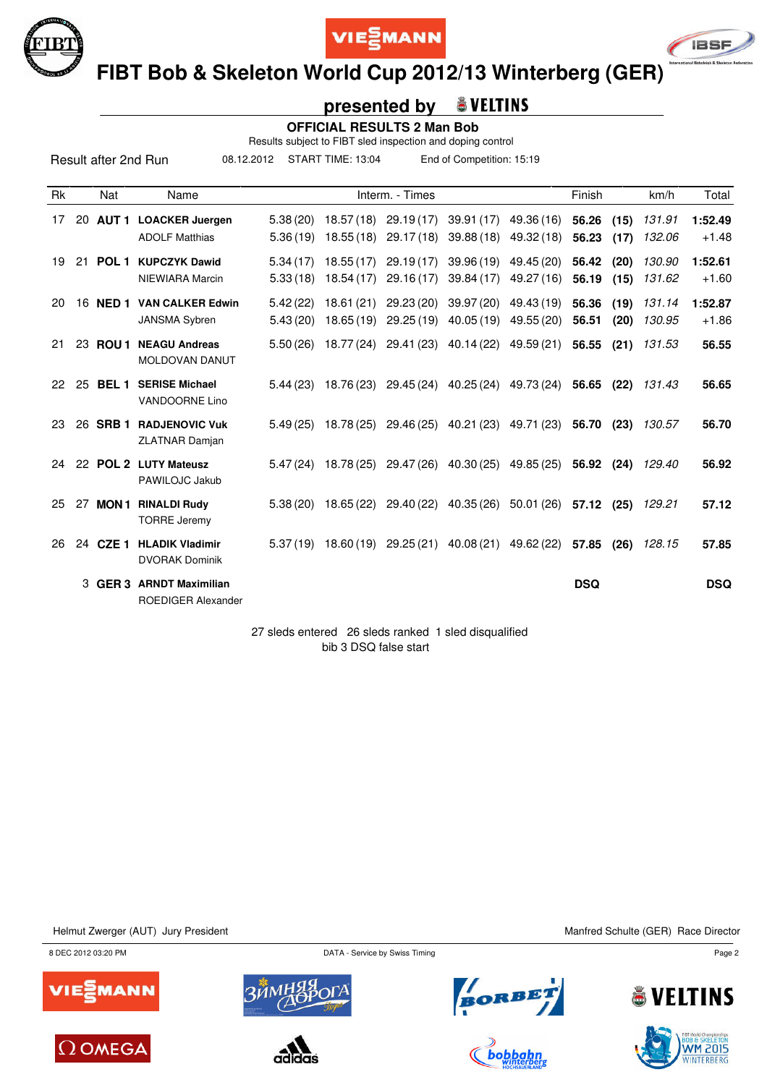





 **FIBT Bob & Skeleton World Cup 2012/13 Winterberg (GER)**

#### **presented by & VELTINS**

 **OFFICIAL RESULTS 2 Man Bob**

Results subject to FIBT sled inspection and doping control

08.12.2012 START TIME: 13:04 End of Competition: 15:19

| <b>Rk</b> |    | Nat              | Name                                                 |                      |                         | Interm. - Times                                   |                         |                          | Finish         |              | km/h             | Total              |
|-----------|----|------------------|------------------------------------------------------|----------------------|-------------------------|---------------------------------------------------|-------------------------|--------------------------|----------------|--------------|------------------|--------------------|
| 17        |    |                  | 20 AUT 1 LOACKER Juergen<br><b>ADOLF Matthias</b>    | 5.38(20)<br>5.36(19) | 18.57(18)<br>18.55(18)  | 29.19(17)<br>29.17(18)                            | 39.91(17)<br>39.88(18)  | 49.36 (16)<br>49.32 (18) | 56.26<br>56.23 | (15)<br>(17) | 131.91<br>132.06 | 1:52.49<br>$+1.48$ |
| 19        |    |                  | 21 POL 1 KUPCZYK Dawid<br>NIEWIARA Marcin            | 5.34(17)<br>5.33(18) | 18.55(17)<br>18.54(17)  | 29.19(17)<br>29.16(17)                            | 39.96 (19)<br>39.84(17) | 49.45 (20)<br>49.27 (16) | 56.42<br>56.19 | (20)<br>(15) | 130.90<br>131.62 | 1:52.61<br>$+1.60$ |
| 20        |    | 16 <b>NED 1</b>  | <b>VAN CALKER Edwin</b><br><b>JANSMA Sybren</b>      | 5.42(22)<br>5.43(20) | 18.61 (21)<br>18.65(19) | 29.23(20)<br>29.25(19)                            | 39.97 (20)<br>40.05(19) | 49.43 (19)<br>49.55 (20) | 56.36<br>56.51 | (19)<br>(20) | 131.14<br>130.95 | 1:52.87<br>$+1.86$ |
| 21        |    | 23 ROU 1         | <b>NEAGU Andreas</b><br><b>MOLDOVAN DANUT</b>        | 5.50(26)             | 18.77 (24)              | 29.41 (23)                                        | 40.14 (22) 49.59 (21)   |                          | 56.55          | (21)         | 131.53           | 56.55              |
| 22        | 25 | BEL <sub>1</sub> | <b>SERISE Michael</b><br>VANDOORNE Lino              | 5.44(23)             | 18.76 (23)              | 29.45 (24)                                        | 40.25 (24)              | 49.73 (24)               | 56.65          | (22)         | 131.43           | 56.65              |
| 23        |    | 26 SRB 1         | <b>RADJENOVIC Vuk</b><br><b>ZLATNAR Damjan</b>       | 5.49(25)             | 18.78 (25)              |                                                   | 29.46 (25) 40.21 (23)   | 49.71 (23)               | 56.70          | (23)         | 130.57           | 56.70              |
| 24        |    |                  | 22 POL 2 LUTY Mateusz<br>PAWILOJC Jakub              | 5.47(24)             | 18.78 (25)              | 29.47 (26)                                        | 40.30 (25)              | 49.85 (25)               | 56.92          | (24)         | 129.40           | 56.92              |
| 25        |    |                  | 27 MON1 RINALDI Rudy<br><b>TORRE Jeremy</b>          | 5.38(20)             |                         | 18.65 (22) 29.40 (22) 40.35 (26) 50.01 (26) 57.12 |                         |                          |                | (25)         | 129.21           | 57.12              |
| 26        |    | 24 CZE 1         | <b>HLADIK Vladimir</b><br><b>DVORAK Dominik</b>      | 5.37(19)             | 18.60 (19)              | 29.25 (21)                                        | 40.08 (21)              | 49.62 (22)               | 57.85          | (26)         | 128.15           | 57.85              |
|           | 3  | GER 3            | <b>ARNDT Maximilian</b><br><b>ROEDIGER Alexander</b> |                      |                         |                                                   |                         |                          | <b>DSQ</b>     |              |                  | <b>DSQ</b>         |

27 sleds entered 26 sleds ranked 1 sled disqualified bib 3 DSQ false start

Helmut Zwerger (AUT) Jury President Manfred Schulte (GER) Race Director















**ELTINS** 

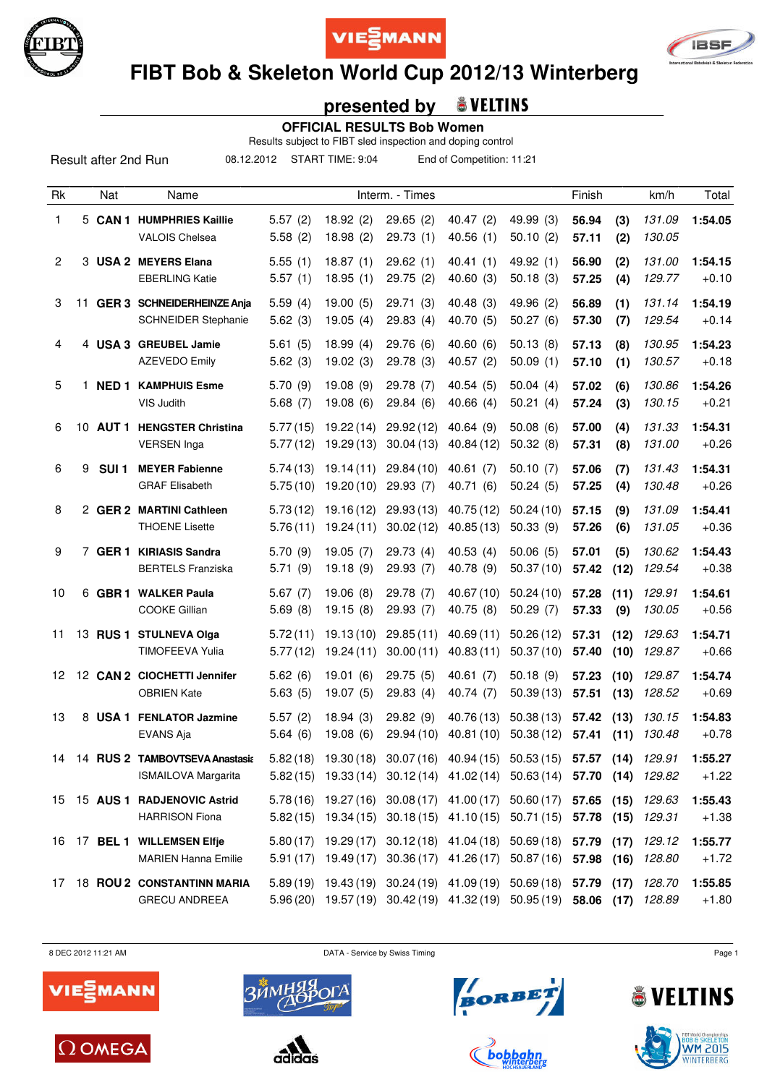





# **FIBT Bob & Skeleton World Cup 2012/13 Winterberg**

## **presented by**

 **OFFICIAL RESULTS Bob Women**

Results subject to FIBT sled inspection and doping control

Result after 2nd Run

08.12.2012 START TIME: 9:04 End of Competition: 11:21

| Rk             |    | Nat              | Name                                                         |                      |                                              | Interm. - Times        |                                                                                                                                             |                         | Finish         |              | km/h             | Total              |
|----------------|----|------------------|--------------------------------------------------------------|----------------------|----------------------------------------------|------------------------|---------------------------------------------------------------------------------------------------------------------------------------------|-------------------------|----------------|--------------|------------------|--------------------|
| 1              |    |                  | 5 CAN 1 HUMPHRIES Kaillie<br><b>VALOIS Chelsea</b>           | 5.57(2)<br>5.58(2)   | 18.92(2)<br>18.98(2)                         | 29.65(2)<br>29.73(1)   | 40.47(2)<br>40.56(1)                                                                                                                        | 49.99 (3)<br>50.10(2)   | 56.94<br>57.11 | (3)<br>(2)   | 131.09<br>130.05 | 1:54.05            |
| $\overline{2}$ |    |                  | 3 USA 2 MEYERS Elana<br><b>EBERLING Katie</b>                | 5.55(1)<br>5.57(1)   | 18.87(1)<br>18.95(1)                         | 29.62(1)<br>29.75(2)   | 40.41(1)<br>40.60(3)                                                                                                                        | 49.92 (1)<br>50.18(3)   | 56.90<br>57.25 | (2)<br>(4)   | 131.00<br>129.77 | 1:54.15<br>$+0.10$ |
| 3              |    |                  | 11 GER 3 SCHNEIDERHEINZE Anja<br><b>SCHNEIDER Stephanie</b>  | 5.59(4)<br>5.62(3)   | 19.00(5)<br>19.05(4)                         | 29.71(3)<br>29.83(4)   | 40.48(3)<br>40.70 (5)                                                                                                                       | 49.96 (2)<br>50.27(6)   | 56.89<br>57.30 | (1)<br>(7)   | 131.14<br>129.54 | 1:54.19<br>$+0.14$ |
| 4              |    |                  | 4 USA 3 GREUBEL Jamie<br><b>AZEVEDO Emily</b>                | 5.61(5)<br>5.62(3)   | 18.99(4)<br>19.02(3)                         | 29.76(6)<br>29.78 (3)  | 40.60(6)<br>40.57(2)                                                                                                                        | 50.13(8)<br>50.09(1)    | 57.13<br>57.10 | (8)<br>(1)   | 130.95<br>130.57 | 1:54.23<br>$+0.18$ |
| 5              | 1. |                  | <b>NED 1 KAMPHUIS Esme</b><br>VIS Judith                     | 5.70(9)<br>5.68(7)   | 19.08(9)<br>19.08(6)                         | 29.78(7)<br>29.84(6)   | 40.54(5)<br>40.66(4)                                                                                                                        | 50.04(4)<br>50.21(4)    | 57.02<br>57.24 | (6)<br>(3)   | 130.86<br>130.15 | 1:54.26<br>$+0.21$ |
| 6              |    |                  | 10 AUT 1 HENGSTER Christina<br><b>VERSEN Inga</b>            | 5.77(15)<br>5.77(12) | 19.22(14)<br>19.29(13)                       | 29.92(12)<br>30.04(13) | 40.64(9)<br>40.84 (12)                                                                                                                      | 50.08(6)<br>50.32(8)    | 57.00<br>57.31 | (4)<br>(8)   | 131.33<br>131.00 | 1:54.31<br>$+0.26$ |
| 6              | 9  | SUI <sub>1</sub> | <b>MEYER Fabienne</b><br><b>GRAF Elisabeth</b>               | 5.74(13)<br>5.75(10) | 19.14(11)<br>19.20(10)                       | 29.84(10)<br>29.93(7)  | 40.61(7)<br>40.71(6)                                                                                                                        | 50.10(7)<br>50.24(5)    | 57.06<br>57.25 | (7)<br>(4)   | 131.43<br>130.48 | 1:54.31<br>$+0.26$ |
| 8              |    |                  | 2 GER 2 MARTINI Cathleen<br><b>THOENE Lisette</b>            | 5.73(12)<br>5.76(11) | 19.16(12)<br>19.24(11)                       | 29.93(13)<br>30.02(12) | 40.75 (12)<br>40.85(13)                                                                                                                     | 50.24(10)<br>50.33(9)   | 57.15<br>57.26 | (9)<br>(6)   | 131.09<br>131.05 | 1:54.41<br>$+0.36$ |
| 9              |    |                  | 7 GER 1 KIRIASIS Sandra<br><b>BERTELS Franziska</b>          | 5.70(9)<br>5.71(9)   | 19.05(7)<br>19.18(9)                         | 29.73(4)<br>29.93(7)   | 40.53(4)<br>40.78 (9)                                                                                                                       | 50.06(5)<br>50.37(10)   | 57.01<br>57.42 | (5)<br>(12)  | 130.62<br>129.54 | 1:54.43<br>$+0.38$ |
| 10             |    |                  | 6 GBR 1 WALKER Paula<br><b>COOKE Gillian</b>                 | 5.67(7)<br>5.69(8)   | 19.06(8)<br>19.15(8)                         | 29.78 (7)<br>29.93 (7) | 40.67 (10)<br>40.75(8)                                                                                                                      | 50.24(10)<br>50.29(7)   | 57.28<br>57.33 | (11)<br>(9)  | 129.91<br>130.05 | 1:54.61<br>$+0.56$ |
| 11             |    |                  | 13 RUS 1 STULNEVA Olga<br><b>TIMOFEEVA Yulia</b>             | 5.72(11)<br>5.77(12) | 19.13(10)<br>19.24(11)                       | 29.85(11)<br>30.00(11) | 40.69(11)<br>40.83(11)                                                                                                                      | 50.26(12)<br>50.37(10)  | 57.31<br>57.40 | (12)<br>(10) | 129.63<br>129.87 | 1:54.71<br>$+0.66$ |
| 12             |    |                  | 12 CAN 2 CIOCHETTI Jennifer<br><b>OBRIEN Kate</b>            | 5.62(6)<br>5.63(5)   | 19.01(6)<br>19.07(5)                         | 29.75(5)<br>29.83(4)   | 40.61(7)<br>40.74 (7)                                                                                                                       | 50.18(9)<br>50.39(13)   | 57.23<br>57.51 | (10)<br>(13) | 129.87<br>128.52 | 1:54.74<br>$+0.69$ |
| 13             |    |                  | 8 USA 1 FENLATOR Jazmine<br>EVANS Aja                        | 5.57(2)<br>5.64(6)   | 18.94(3)<br>19.08(6)                         | 29.82(9)<br>29.94 (10) | 40.76 (13)<br>40.81(10)                                                                                                                     | 50.38 (13)<br>50.38(12) | 57.42<br>57.41 | (13)<br>(11) | 130.15<br>130.48 | 1:54.83<br>$+0.78$ |
| 14             |    |                  | 14 RUS 2 TAMBOVTSEVA Anastasia<br><b>ISMAILOVA Margarita</b> | 5.82(18)             | 19.30(18)                                    |                        | 30.07 (16) 40.94 (15) 50.53 (15) 57.57<br>5.82 (15) 19.33 (14) 30.12 (14) 41.02 (14) 50.63 (14) 57.70 (14) 129.82                           |                         |                |              | $(14)$ 129.91    | 1:55.27<br>$+1.22$ |
|                |    |                  | 15 15 AUS 1 RADJENOVIC Astrid<br><b>HARRISON Fiona</b>       |                      |                                              |                        | 5.78 (16) 19.27 (16) 30.08 (17) 41.00 (17) 50.60 (17) 57.65 (15)<br>5.82 (15) 19.34 (15) 30.18 (15) 41.10 (15) 50.71 (15) 57.78 (15) 129.31 |                         |                |              | 129.63           | 1:55.43<br>$+1.38$ |
|                |    |                  | 16 17 BEL 1 WILLEMSEN Elfje<br><b>MARIEN Hanna Emilie</b>    |                      | $5.80(17)$ 19.29(17)<br>$5.91(17)$ 19.49(17) |                        | 30.12(18) 41.04(18) 50.69(18) 57.79 (17)<br>30.36 (17) 41.26 (17) 50.87 (16) 57.98 (16)                                                     |                         |                |              | 129.12<br>128.80 | 1:55.77<br>$+1.72$ |
|                |    |                  | 17 18 ROU 2 CONSTANTINN MARIA<br><b>GRECU ANDREEA</b>        |                      |                                              |                        | 5.89 (19) 19.43 (19) 30.24 (19) 41.09 (19) 50.69 (18) 57.79 (17)<br>5.96 (20) 19.57 (19) 30.42 (19) 41.32 (19) 50.95 (19) 58.06 (17) 128.89 |                         |                |              | 128.70           | 1:55.85<br>$+1.80$ |

8 DEC 2012 11:21 AM DATA - Service by Swiss Timing Page 1











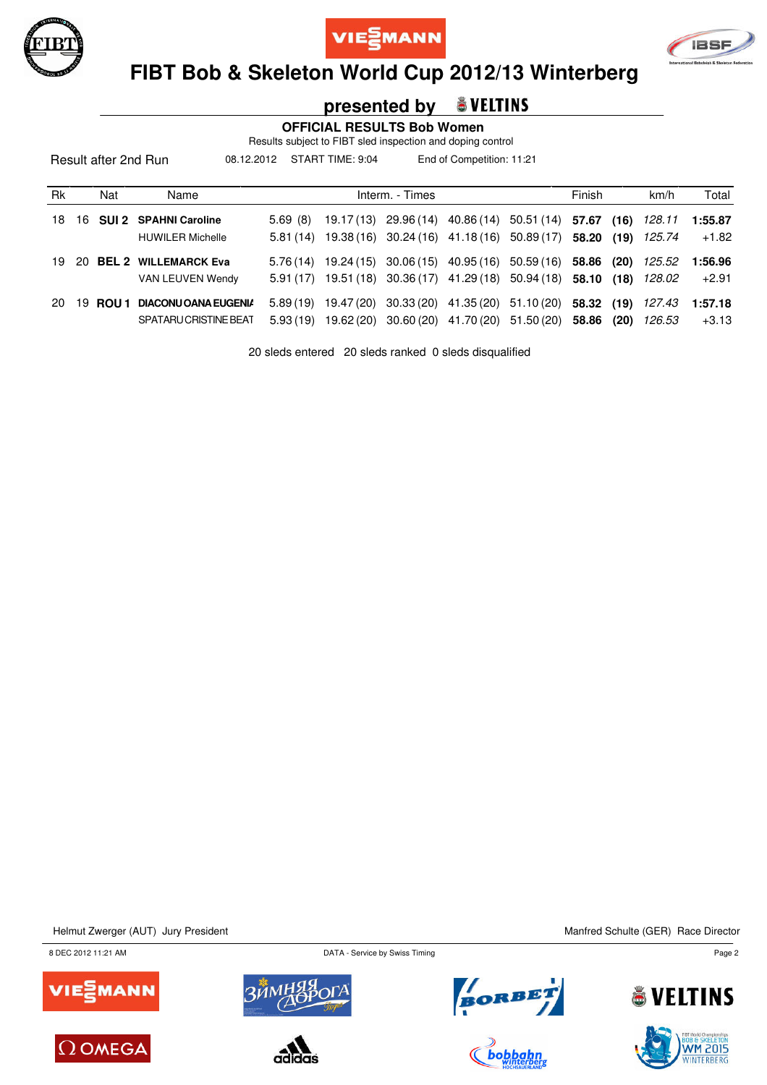





# **FIBT Bob & Skeleton World Cup 2012/13 Winterberg**

### **presented by**

 **OFFICIAL RESULTS Bob Women**

Results subject to FIBT sled inspection and doping control

08.12.2012 START TIME: 9:04 End of Competition: 11:21

| Rk  |     | Nat   | Name                                                |                      |                          | Interm. - Times                                                                                      |                                             | Finish |      | km/h             | Total              |
|-----|-----|-------|-----------------------------------------------------|----------------------|--------------------------|------------------------------------------------------------------------------------------------------|---------------------------------------------|--------|------|------------------|--------------------|
| 18. |     |       | 16 SUI 2 SPAHNI Caroline<br><b>HUWILER Michelle</b> | 5.69(8)<br>5.81(14)  | 19.17 (13)<br>19.38 (16) | 29.96 (14) 40.86 (14) 50.51 (14) 57.67 (16)<br>30.24 (16) 41.18 (16) 50.89 (17) 58.20 (19)           |                                             |        |      | 128.11<br>125.74 | 1:55.87<br>$+1.82$ |
| 19. | -20 |       | <b>BEL 2 WILLEMARCK Eva</b><br>VAN LEUVEN Wendy     | 5.91(17)             | $5.76(14)$ 19.24(15)     | $30.06(15)$ 40.95(16) 50.59(16) 58.86 (20)<br>19.51 (18) 30.36 (17) 41.29 (18) 50.94 (18) 58.10 (18) |                                             |        |      | 125.52<br>128.02 | 1:56.96<br>$+2.91$ |
| 20. | 19  | ROU 1 | DIACONU OANA EUGENIA<br>SPATARU CRISTINE BEAT       | 5.89(19)<br>5.93(19) | 19.47 (20)<br>19.62 (20) | 30.60 (20) 41.70 (20) 51.50 (20)                                                                     | 30.33 (20) 41.35 (20) 51.10 (20) 58.32 (19) | 58.86  | (20) | 127.43<br>126.53 | 1:57.18<br>$+3.13$ |

20 sleds entered 20 sleds ranked 0 sleds disqualified

Helmut Zwerger (AUT) Jury President Manifed Schulte (GER) Race Director

8 DEC 2012 11:21 AM Page 2















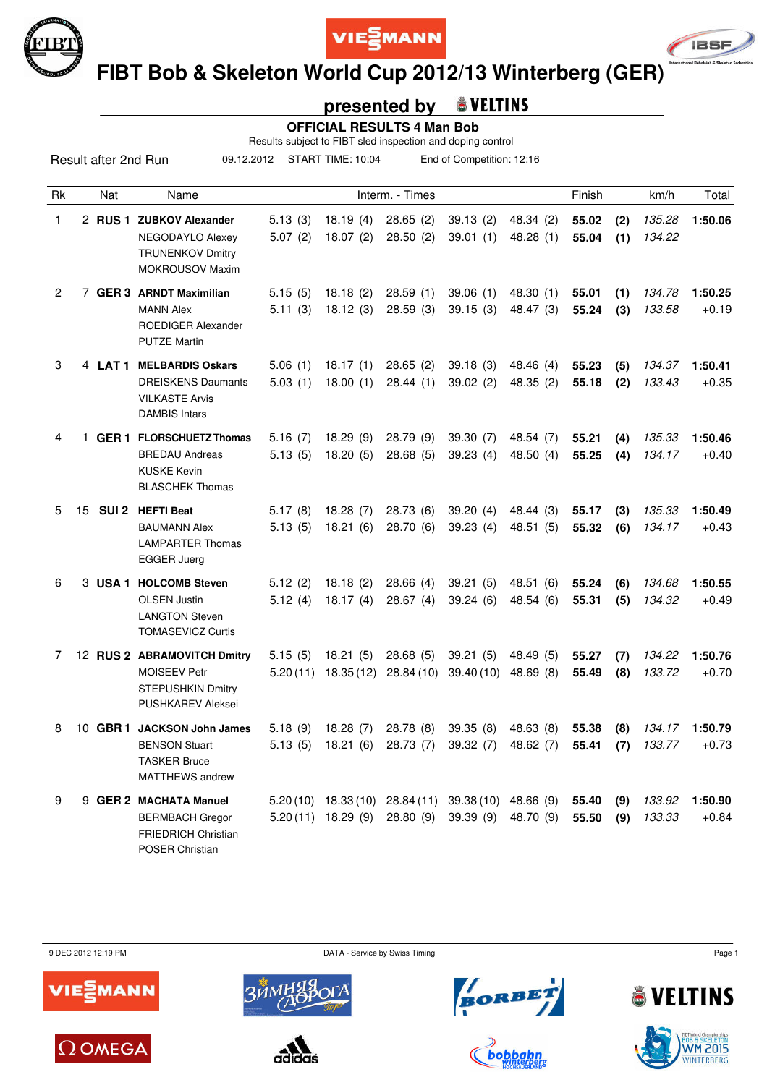





 **FIBT Bob & Skeleton World Cup 2012/13 Winterberg (GER)**

## **presented by**

 **OFFICIAL RESULTS 4 Man Bob**

Results subject to FIBT sled inspection and doping control

09.12.2012 START TIME: 10:04 End of Competition: 12:16

| Rk             |         | Nat              | Name                                                                                                       |                     |                       | Interm. - Times                                         |                       |                          | Finish         |            | km/h             | Total              |
|----------------|---------|------------------|------------------------------------------------------------------------------------------------------------|---------------------|-----------------------|---------------------------------------------------------|-----------------------|--------------------------|----------------|------------|------------------|--------------------|
| 1.             |         |                  | 2 RUS 1 ZUBKOV Alexander<br>NEGODAYLO Alexey<br><b>TRUNENKOV Dmitry</b><br><b>MOKROUSOV Maxim</b>          | 5.13(3)<br>5.07(2)  | 18.19(4)<br>18.07(2)  | 28.65(2)<br>28.50(2)                                    | 39.13(2)<br>39.01(1)  | 48.34 (2)<br>48.28(1)    | 55.02<br>55.04 | (2)<br>(1) | 135.28<br>134.22 | 1:50.06            |
| $\overline{2}$ |         |                  | 7 GER 3 ARNDT Maximilian<br><b>MANN Alex</b><br><b>ROEDIGER Alexander</b><br><b>PUTZE Martin</b>           | 5.15(5)<br>5.11(3)  | 18.18(2)<br>18.12(3)  | 28.59(1)<br>28.59(3)                                    | 39.06(1)<br>39.15(3)  | 48.30 (1)<br>48.47 (3)   | 55.01<br>55.24 | (1)<br>(3) | 134.78<br>133.58 | 1:50.25<br>$+0.19$ |
| 3              | 4 LAT 1 |                  | <b>MELBARDIS Oskars</b><br><b>DREISKENS Daumants</b><br><b>VILKASTE Arvis</b><br><b>DAMBIS Intars</b>      | 5.06(1)<br>5.03(1)  | 18.17(1)<br>18.00(1)  | 28.65(2)<br>28.44(1)                                    | 39.18(3)<br>39.02(2)  | 48.46 (4)<br>48.35(2)    | 55.23<br>55.18 | (5)<br>(2) | 134.37<br>133.43 | 1:50.41<br>$+0.35$ |
| 4              | 1.      | GER 1            | <b>FLORSCHUETZ Thomas</b><br><b>BREDAU Andreas</b><br><b>KUSKE Kevin</b><br><b>BLASCHEK Thomas</b>         | 5.16(7)<br>5.13(5)  | 18.29(9)<br>18.20(5)  | 28.79 (9)<br>28.68(5)                                   | 39.30 (7)<br>39.23(4) | 48.54 (7)<br>48.50 $(4)$ | 55.21<br>55.25 | (4)<br>(4) | 135.33<br>134.17 | 1:50.46<br>$+0.40$ |
| 5              | 15      | SUI <sub>2</sub> | <b>HEFTI Beat</b><br><b>BAUMANN Alex</b><br><b>LAMPARTER Thomas</b><br><b>EGGER Juerg</b>                  | 5.17(8)<br>5.13(5)  | 18.28(7)<br>18.21(6)  | 28.73 (6)<br>28.70(6)                                   | 39.20(4)<br>39.23(4)  | 48.44 (3)<br>48.51 (5)   | 55.17<br>55.32 | (3)<br>(6) | 135.33<br>134.17 | 1:50.49<br>$+0.43$ |
| 6              |         |                  | 3 USA 1 HOLCOMB Steven<br><b>OLSEN Justin</b><br><b>LANGTON Steven</b><br><b>TOMASEVICZ Curtis</b>         | 5.12(2)<br>5.12(4)  | 18.18(2)<br>18.17(4)  | 28.66(4)<br>28.67(4)                                    | 39.21(5)<br>39.24(6)  | 48.51 (6)<br>48.54 (6)   | 55.24<br>55.31 | (6)<br>(5) | 134.68<br>134.32 | 1:50.55<br>$+0.49$ |
| 7              |         |                  | 12 RUS 2 ABRAMOVITCH Dmitry<br><b>MOISEEV Petr</b><br><b>STEPUSHKIN Dmitry</b><br><b>PUSHKAREV Aleksei</b> | 5.15(5)<br>5.20(11) | 18.21(5)<br>18.35(12) | 28.68(5)<br>28.84 (10)                                  | 39.21(5)<br>39.40(10) | 48.49 (5)<br>48.69(8)    | 55.27<br>55.49 | (7)<br>(8) | 134.22<br>133.72 | 1:50.76<br>$+0.70$ |
| 8              | 10      | GBR <sub>1</sub> | <b>JACKSON John James</b><br><b>BENSON Stuart</b><br><b>TASKER Bruce</b><br>MATTHEWS andrew                | 5.18(9)<br>5.13(5)  | 18.28(7)<br>18.21(6)  | 28.78 (8)<br>28.73 (7)                                  | 39.35(8)<br>39.32 (7) | 48.63 (8)<br>48.62 (7)   | 55.38<br>55.41 | (8)<br>(7) | 134.17<br>133.77 | 1:50.79<br>$+0.73$ |
| 9              |         |                  | 9 GER 2 MACHATA Manuel<br><b>BERMBACH Gregor</b><br><b>FRIEDRICH Christian</b><br>POSER Christian          |                     | $5.20(11)$ 18.29 (9)  | $5.20(10)$ 18.33 (10) 28.84 (11) 39.38 (10)<br>28.80(9) | 39.39(9)              | 48.66 (9)<br>48.70 (9)   | 55.40<br>55.50 | (9)<br>(9) | 133.92<br>133.33 | 1:50.90<br>$+0.84$ |

9 DEC 2012 12:19 PM Page 1











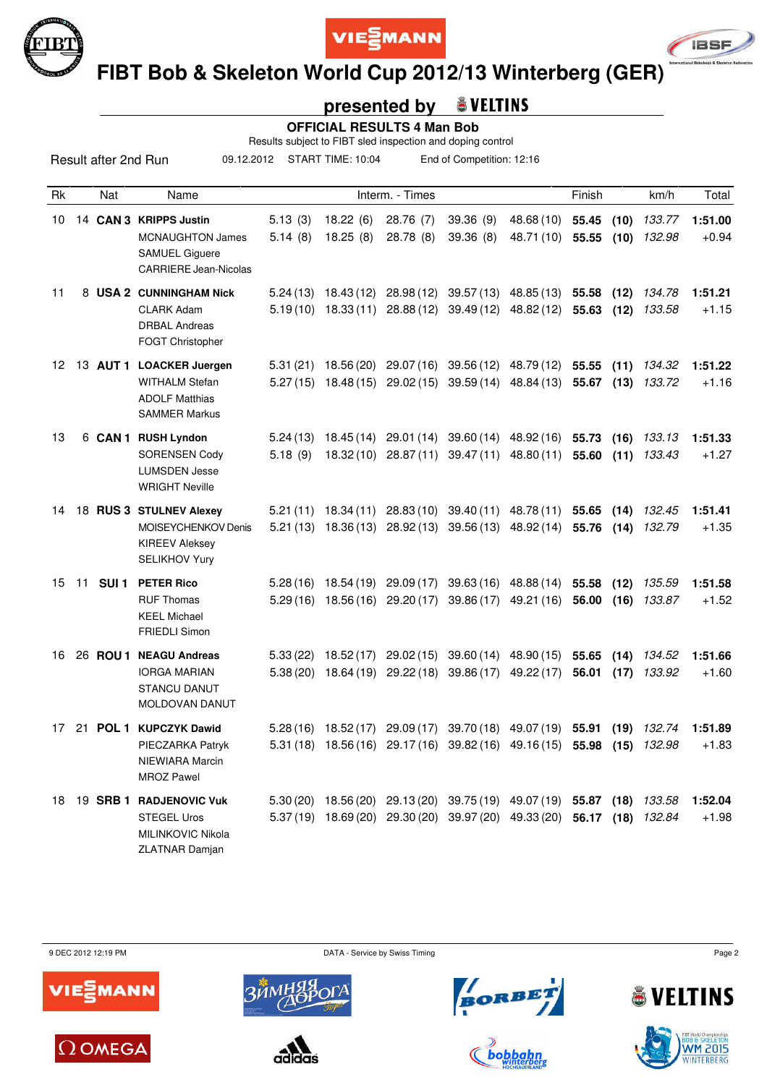





 **FIBT Bob & Skeleton World Cup 2012/13 Winterberg (GER)**

## **presented by**

 **OFFICIAL RESULTS 4 Man Bob**

Results subject to FIBT sled inspection and doping control

09.12.2012 START TIME: 10:04 End of Competition: 12:16

| Rk  |    | Nat              | Name                                                                                                       |                      |                          | Interm. - Times         |                                                                                                                                                    |                                      | Finish         |              | km/h             | Total              |
|-----|----|------------------|------------------------------------------------------------------------------------------------------------|----------------------|--------------------------|-------------------------|----------------------------------------------------------------------------------------------------------------------------------------------------|--------------------------------------|----------------|--------------|------------------|--------------------|
| 10  |    |                  | 14 CAN 3 KRIPPS Justin<br><b>MCNAUGHTON James</b><br><b>SAMUEL Giguere</b><br><b>CARRIERE Jean-Nicolas</b> | 5.13(3)<br>5.14(8)   | 18.22(6)<br>18.25(8)     | 28.76 (7)<br>28.78(8)   | 39.36 (9)<br>39.36(8)                                                                                                                              | 48.68 (10) 55.45<br>48.71 (10) 55.55 |                | (10)<br>(10) | 133.77<br>132.98 | 1:51.00<br>$+0.94$ |
| 11  |    |                  | 8 USA 2 CUNNINGHAM Nick<br><b>CLARK Adam</b><br><b>DRBAL Andreas</b><br>FOGT Christopher                   | 5.24(13)             | 18.43 (12)               | 28.98 (12)              | 39.57 (13)<br>$5.19(10)$ $18.33(11)$ $28.88(12)$ $39.49(12)$ $48.82(12)$ <b>55.63</b>                                                              | 48.85 (13)                           | 55.58          | (12)<br>(12) | 134.78<br>133.58 | 1:51.21<br>$+1.15$ |
| 12. |    |                  | 13 AUT 1 LOACKER Juergen<br><b>WITHALM Stefan</b><br><b>ADOLF Matthias</b><br><b>SAMMER Markus</b>         | 5.31(21)<br>5.27(15) | 18.56 (20)               |                         | 29.07 (16) 39.56 (12) 48.79 (12)<br>18.48 (15) 29.02 (15) 39.59 (14) 48.84 (13) 55.67 (13)                                                         |                                      | 55.55          | (11)         | 134.32<br>133.72 | 1:51.22<br>$+1.16$ |
| 13  |    |                  | 6 CAN 1 RUSH Lyndon<br><b>SORENSEN Cody</b><br><b>LUMSDEN Jesse</b><br><b>WRIGHT Neville</b>               | 5.24(13)<br>5.18(9)  |                          |                         | 18.45 (14) 29.01 (14) 39.60 (14) 48.92 (16) 55.73 (16) 133.13<br>18.32 (10) 28.87 (11) 39.47 (11)                                                  | 48.80 (11) 55.60                     |                | (11)         | 133.43           | 1:51.33<br>$+1.27$ |
| 14  |    |                  | 18 RUS 3 STULNEV Alexey<br>MOISEYCHENKOV Denis<br><b>KIREEV Aleksey</b><br>SELIKHOV Yury                   | 5.21(11)             | 18.34 (11)               |                         | 28.83 (10) 39.40 (11) 48.78 (11)<br>5.21 (13) 18.36 (13) 28.92 (13) 39.56 (13) 48.92 (14) 55.76                                                    |                                      | 55.65          | (14)<br>(14) | 132.45<br>132.79 | 1:51.41<br>$+1.35$ |
| 15  | 11 | SUI <sub>1</sub> | <b>PETER Rico</b><br><b>RUF Thomas</b><br><b>KEEL Michael</b><br><b>FRIEDLI Simon</b>                      | 5.28(16)             |                          | 18.54 (19) 29.09 (17)   | 5.29 (16) 18.56 (16) 29.20 (17) 39.86 (17) 49.21 (16) 56.00                                                                                        | 39.63 (16) 48.88 (14) 55.58          |                | (12)<br>(16) | 135.59<br>133.87 | 1:51.58<br>$+1.52$ |
| 16  |    | 26 <b>ROU 1</b>  | <b>NEAGU Andreas</b><br><b>IORGA MARIAN</b><br><b>STANCU DANUT</b><br><b>MOLDOVAN DANUT</b>                | 5.33(22)<br>5.38(20) | 18.52 (17)<br>18.64 (19) |                         | 29.02 (15) 39.60 (14) 48.90 (15)<br>29.22 (18) 39.86 (17)                                                                                          | 49.22 (17)                           | 55.65<br>56.01 | (14)<br>(17) | 134.52<br>133.92 | 1:51.66<br>$+1.60$ |
| 17  |    |                  | 21 POL 1 KUPCZYK Dawid<br>PIECZARKA Patryk<br>NIEWIARA Marcin<br><b>MROZ Pawel</b>                         | 5.28(16)<br>5.31(18) | 18.52(17)<br>18.56 (16)  | 29.09(17)<br>29.17 (16) | 39.70 (18)<br>39.82 (16)                                                                                                                           | 49.07 (19)<br>49.16 (15)             | 55.91<br>55.98 | (19)<br>(15) | 132.74<br>132.98 | 1:51.89<br>$+1.83$ |
| 18  |    |                  | 19 SRB 1 RADJENOVIC Vuk<br><b>STEGEL Uros</b><br>MILINKOVIC Nikola<br><b>ZLATNAR Damjan</b>                |                      |                          |                         | 5.30 (20) 18.56 (20) 29.13 (20) 39.75 (19) 49.07 (19) 55.87 (18) 133.58<br>5.37 (19) 18.69 (20) 29.30 (20) 39.97 (20) 49.33 (20) 56.17 (18) 132.84 |                                      |                |              |                  | 1:52.04<br>$+1.98$ |











**bobba** 



**VELTINS** 

M 2015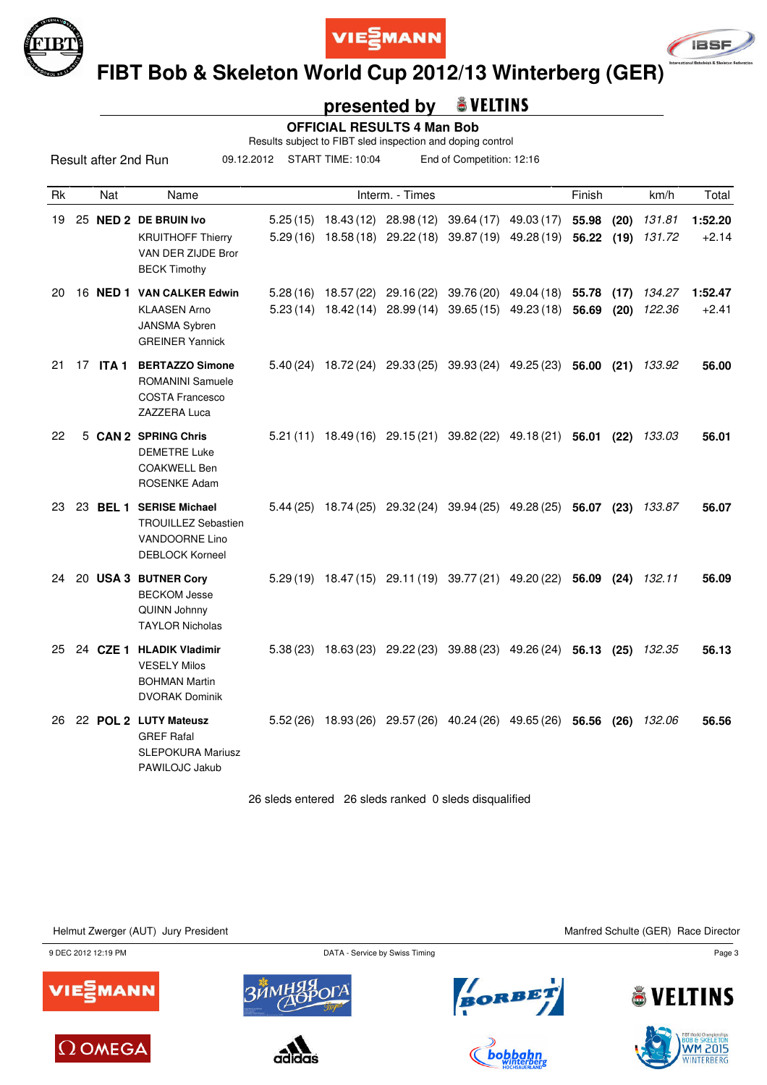





 **FIBT Bob & Skeleton World Cup 2012/13 Winterberg (GER)**

#### **presented by & VELTINS**

 **OFFICIAL RESULTS 4 Man Bob**

Results subject to FIBT sled inspection and doping control

09.12.2012 START TIME: 10:04 End of Competition: 12:16

| Rk |    | Nat   | Name                                                                                                     |          |                       | Interm. - Times                                                      |                                                                         | Finish |              | km/h             | Total              |
|----|----|-------|----------------------------------------------------------------------------------------------------------|----------|-----------------------|----------------------------------------------------------------------|-------------------------------------------------------------------------|--------|--------------|------------------|--------------------|
| 19 |    |       | 25 NED 2 DE BRUIN Ivo<br><b>KRUITHOFF Thierry</b><br>VAN DER ZIJDE Bror<br><b>BECK Timothy</b>           |          |                       | $5.25(15)$ 18.43(12) 28.98(12)<br>$5.29(16)$ $18.58(18)$ $29.22(18)$ | 39.64 (17) 49.03 (17) 55.98<br>39.87 (19) 49.28 (19)                    | 56.22  | (20)<br>(19) | 131.81<br>131.72 | 1:52.20<br>$+2.14$ |
| 20 |    |       | 16 NED 1 VAN CALKER Edwin<br><b>KLAASEN Arno</b><br>JANSMA Sybren<br><b>GREINER Yannick</b>              |          | $5.28(16)$ 18.57 (22) | 29.16 (22)<br>$5.23(14)$ 18.42(14) 28.99(14)                         | 39.76 (20) 49.04 (18) 55.78<br>39.65 (15) 49.23 (18)                    | 56.69  | (17)<br>(20) | 134.27<br>122.36 | 1:52.47<br>$+2.41$ |
| 21 | 17 | ITA 1 | <b>BERTAZZO Simone</b><br><b>ROMANINI Samuele</b><br><b>COSTA Francesco</b><br><b>ZAZZERA Luca</b>       |          |                       |                                                                      | 5.40 (24) 18.72 (24) 29.33 (25) 39.93 (24) 49.25 (23)                   | 56.00  | (21)         | 133.92           | 56.00              |
| 22 |    |       | 5 CAN 2 SPRING Chris<br><b>DEMETRE Luke</b><br><b>COAKWELL Ben</b><br><b>ROSENKE Adam</b>                |          |                       |                                                                      | $5.21(11)$ $18.49(16)$ $29.15(21)$ $39.82(22)$ $49.18(21)$ <b>56.01</b> |        | (22)         | 133.03           | 56.01              |
| 23 |    |       | 23 BEL 1 SERISE Michael<br><b>TROUILLEZ Sebastien</b><br><b>VANDOORNE Lino</b><br><b>DEBLOCK Korneel</b> |          |                       |                                                                      | $5.44(25)$ 18.74(25) 29.32(24) 39.94(25) 49.28(25) 56.07 (23)           |        |              | 133.87           | 56.07              |
| 24 |    |       | 20 USA 3 BUTNER Cory<br><b>BECKOM Jesse</b><br>QUINN Johnny<br><b>TAYLOR Nicholas</b>                    |          |                       |                                                                      | 5.29 (19) 18.47 (15) 29.11 (19) 39.77 (21) 49.20 (22) 56.09             |        | (24)         | 132.11           | 56.09              |
| 25 |    |       | 24 CZE 1 HLADIK Vladimir<br><b>VESELY Milos</b><br><b>BOHMAN Martin</b><br><b>DVORAK Dominik</b>         |          |                       |                                                                      | $5.38(23)$ 18.63(23) 29.22(23) 39.88(23) 49.26(24) 56.13                |        | (25)         | 132.35           | 56.13              |
| 26 |    |       | 22 POL 2 LUTY Mateusz<br><b>GREF Rafal</b><br><b>SLEPOKURA Mariusz</b><br>PAWILOJC Jakub                 | 5.52(26) | 18.93 (26)            |                                                                      | 29.57 (26) 40.24 (26) 49.65 (26)                                        | 56.56  | (26)         | 132.06           | 56.56              |

26 sleds entered 26 sleds ranked 0 sleds disqualified

Helmut Zwerger (AUT) Jury President Manfred Schulte (GER) Race Director

9 DEC 2012 12:19 PM Page 3















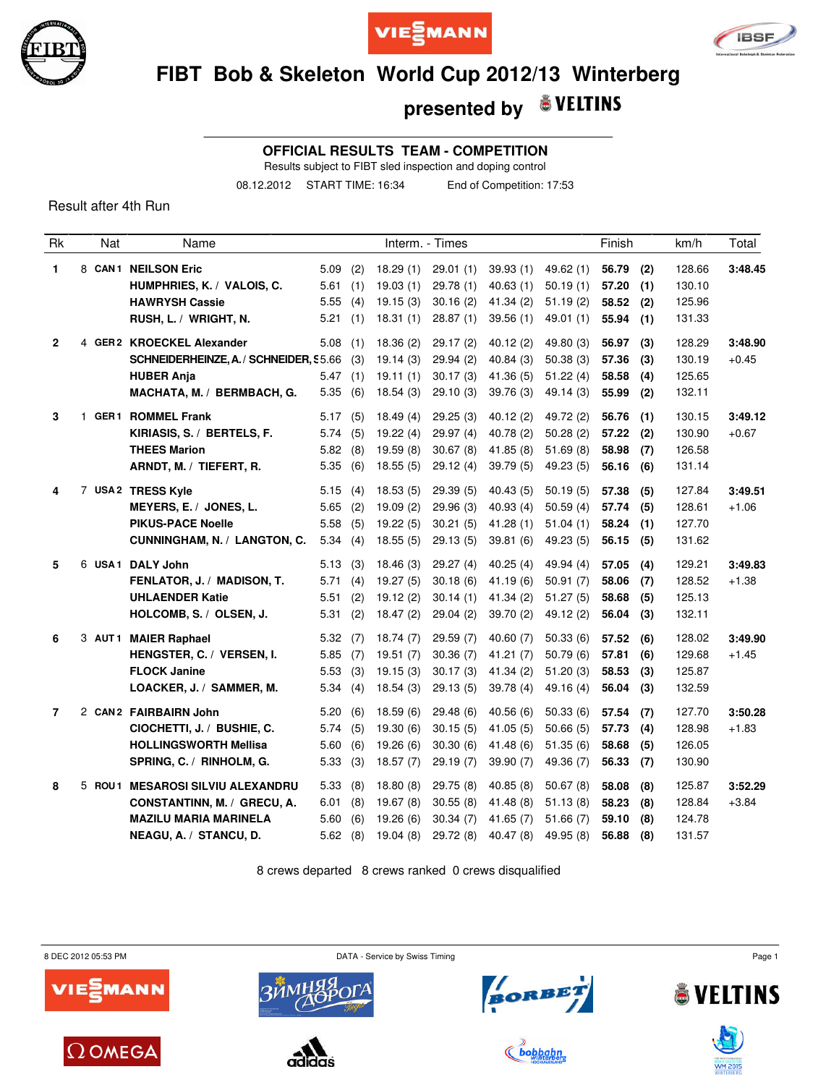





## **FIBT Bob & Skeleton World Cup 2012/13 Winterberg**

#### **& VELTINS presented by**

**OFFICIAL RESULTS TEAM - COMPETITION**

Results subject to FIBT sled inspection and doping control

08.12.2012 START TIME: 16:34 End of Competition: 17:53

Result after 4th Run

| <b>Rk</b>      | Nat | Name                                              |                       |     |                      | Interm. - Times      |                      |                      | Finish         |            | km/h             | Total   |
|----------------|-----|---------------------------------------------------|-----------------------|-----|----------------------|----------------------|----------------------|----------------------|----------------|------------|------------------|---------|
| 1.             |     | 8 CAN1 NEILSON Eric<br>HUMPHRIES, K. / VALOIS, C. | $5.09$ (2)<br>5.61(1) |     | 18.29(1)<br>19.03(1) | 29.01(1)<br>29.78(1) | 39.93(1)<br>40.63(1) | 49.62(1)<br>50.19(1) | 56.79<br>57.20 | (2)<br>(1) | 128.66<br>130.10 | 3:48.45 |
|                |     | <b>HAWRYSH Cassie</b>                             | 5.55                  | (4) | 19.15(3)             | 30.16(2)             | 41.34(2)             | 51.19(2)             | 58.52          | (2)        | 125.96           |         |
|                |     | RUSH, L. / WRIGHT, N.                             | 5.21                  | (1) | 18.31(1)             | 28.87(1)             | 39.56(1)             | 49.01 (1)            | 55.94          | (1)        | 131.33           |         |
| $\mathbf{2}$   |     | 4 GER2 KROECKEL Alexander                         | 5.08                  | (1) | 18.36(2)             | 29.17(2)             | 40.12(2)             | 49.80 (3)            | 56.97          | (3)        | 128.29           | 3:48.90 |
|                |     | SCHNEIDERHEINZE, A. / SCHNEIDER, \$5.66           |                       | (3) | 19.14(3)             | 29.94(2)             | 40.84(3)             | 50.38(3)             | 57.36          | (3)        | 130.19           | $+0.45$ |
|                |     | <b>HUBER Anja</b>                                 | 5.47(1)               |     | 19.11(1)             | 30.17(3)             | 41.36(5)             | 51.22(4)             | 58.58          | (4)        | 125.65           |         |
|                |     | MACHATA, M. / BERMBACH, G.                        | 5.35(6)               |     | 18.54(3)             | 29.10(3)             | 39.76(3)             | 49.14(3)             | 55.99          | (2)        | 132.11           |         |
| 3              |     | 1 GER1 ROMMEL Frank                               | 5.17(5)               |     | 18.49(4)             | 29.25(3)             | 40.12(2)             | 49.72 (2)            | 56.76          | (1)        | 130.15           | 3:49.12 |
|                |     | KIRIASIS, S. / BERTELS, F.                        | 5.74(5)               |     | 19.22(4)             | 29.97 (4)            | 40.78(2)             | 50.28(2)             | 57.22          | (2)        | 130.90           | $+0.67$ |
|                |     | <b>THEES Marion</b>                               | 5.82(8)               |     | 19.59(8)             | 30.67(8)             | 41.85 (8)            | 51.69(8)             | 58.98          | (7)        | 126.58           |         |
|                |     | ARNDT, M. / TIEFERT, R.                           | 5.35(6)               |     | 18.55(5)             | 29.12(4)             | 39.79(5)             | 49.23(5)             | 56.16          | (6)        | 131.14           |         |
| 4              |     | 7 USA2 TRESS Kyle                                 | 5.15(4)               |     | 18.53(5)             | 29.39 (5)            | 40.43(5)             | 50.19(5)             | 57.38          | (5)        | 127.84           | 3:49.51 |
|                |     | MEYERS, E. / JONES, L.                            | $5.65$ (2)            |     | 19.09(2)             | 29.96(3)             | 40.93(4)             | 50.59(4)             | 57.74          | (5)        | 128.61           | $+1.06$ |
|                |     | <b>PIKUS-PACE Noelle</b>                          | 5.58(5)               |     | 19.22(5)             | 30.21(5)             | 41.28(1)             | 51.04(1)             | 58.24          | (1)        | 127.70           |         |
|                |     | CUNNINGHAM, N. / LANGTON, C.                      | 5.34(4)               |     | 18.55(5)             | 29.13(5)             | 39.81 (6)            | 49.23(5)             | 56.15(5)       |            | 131.62           |         |
| 5              |     | 6 USA1 DALY John                                  | 5.13(3)               |     | 18.46(3)             | 29.27 (4)            | 40.25(4)             | 49.94 (4)            | 57.05          | (4)        | 129.21           | 3:49.83 |
|                |     | FENLATOR, J. / MADISON, T.                        | 5.71(4)               |     | 19.27(5)             | 30.18(6)             | 41.19(6)             | 50.91(7)             | 58.06          | (7)        | 128.52           | $+1.38$ |
|                |     | <b>UHLAENDER Katie</b>                            | 5.51(2)               |     | 19.12(2)             | 30.14(1)             | 41.34(2)             | 51.27(5)             | 58.68          | (5)        | 125.13           |         |
|                |     | HOLCOMB, S. / OLSEN, J.                           | 5.31(2)               |     | 18.47(2)             | 29.04(2)             | 39.70(2)             | 49.12 (2)            | 56.04          | (3)        | 132.11           |         |
| 6              |     | 3 AUT1 MAIER Raphael                              | 5.32(7)               |     | 18.74(7)             | 29.59(7)             | 40.60(7)             | 50.33(6)             | 57.52          | (6)        | 128.02           | 3:49.90 |
|                |     | HENGSTER, C. / VERSEN, I.                         | 5.85(7)               |     | 19.51(7)             | 30.36(7)             | 41.21(7)             | 50.79(6)             | 57.81          | (6)        | 129.68           | $+1.45$ |
|                |     | <b>FLOCK Janine</b>                               | 5.53(3)               |     | 19.15(3)             | 30.17(3)             | 41.34(2)             | 51.20(3)             | 58.53          | (3)        | 125.87           |         |
|                |     | LOACKER, J. / SAMMER, M.                          | 5.34(4)               |     | 18.54(3)             | 29.13(5)             | 39.78(4)             | 49.16 (4)            | 56.04          | (3)        | 132.59           |         |
| $\overline{7}$ |     | 2 CAN2 FAIRBAIRN John                             | 5.20(6)               |     | 18.59(6)             | 29.48(6)             | 40.56(6)             | 50.33(6)             | 57.54          | (7)        | 127.70           | 3:50.28 |
|                |     | CIOCHETTI, J. / BUSHIE, C.                        | 5.74(5)               |     | 19.30(6)             | 30.15(5)             | 41.05(5)             | 50.66(5)             | 57.73          | (4)        | 128.98           | $+1.83$ |
|                |     | <b>HOLLINGSWORTH Mellisa</b>                      | 5.60(6)               |     | 19.26(6)             | 30.30(6)             | 41.48(6)             | 51.35(6)             | 58.68          | (5)        | 126.05           |         |
|                |     | SPRING, C. / RINHOLM, G.                          | 5.33(3)               |     | 18.57(7)             | 29.19(7)             | 39.90(7)             | 49.36 (7)            | 56.33          | (7)        | 130.90           |         |
| 8              |     | 5 ROU1 MESAROSI SILVIU ALEXANDRU                  | 5.33(8)               |     | 18.80(8)             | 29.75(8)             | 40.85(8)             | 50.67(8)             | 58.08          | (8)        | 125.87           | 3:52.29 |
|                |     | CONSTANTINN, M. / GRECU, A.                       | 6.01                  | (8) | 19.67(8)             | 30.55(8)             | 41.48(8)             | 51.13(8)             | 58.23          | (8)        | 128.84           | $+3.84$ |
|                |     | <b>MAZILU MARIA MARINELA</b>                      | 5.60                  | (6) | 19.26(6)             | 30.34(7)             | 41.65(7)             | 51.66(7)             | 59.10          | (8)        | 124.78           |         |
|                |     | NEAGU, A. / STANCU, D.                            | 5.62(8)               |     | 19.04 (8)            | 29.72(8)             | 40.47(8)             | 49.95 (8)            | 56.88          | (8)        | 131.57           |         |

8 crews departed 8 crews ranked 0 crews disqualified

8 DEC 2012 05:53 PM **DATA** - Service by Swiss Timing **DATA** - Service by Swiss Timing **Page 1** 











**WM 2019** 



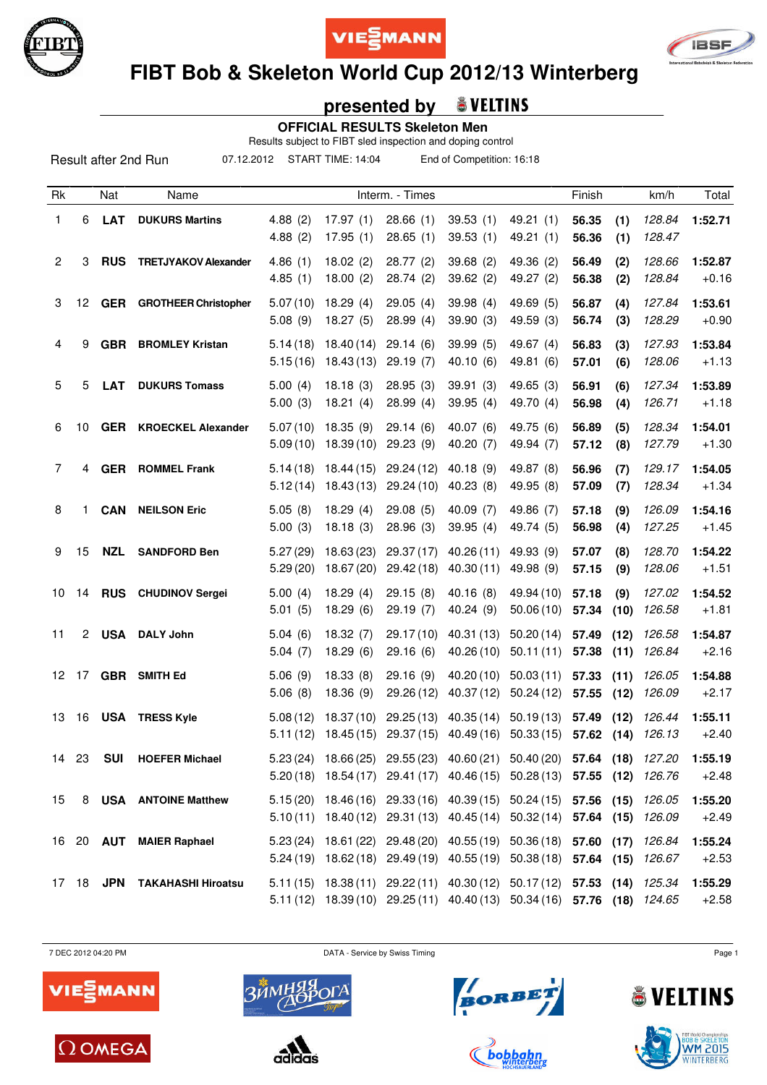





# **FIBT Bob & Skeleton World Cup 2012/13 Winterberg**

## **presented by**

 **OFFICIAL RESULTS Skeleton Men**

Results subject to FIBT sled inspection and doping control

07.12.2012 START TIME: 14:04 End of Competition: 16:18

| Rk               |                | Nat        | Name                            |                      |                          | Interm. - Times         |                                                                                                                                                    |                                    | Finish         |              | km/h             | Total              |
|------------------|----------------|------------|---------------------------------|----------------------|--------------------------|-------------------------|----------------------------------------------------------------------------------------------------------------------------------------------------|------------------------------------|----------------|--------------|------------------|--------------------|
| 1                | 6              | <b>LAT</b> | <b>DUKURS Martins</b>           | 4.88(2)<br>4.88(2)   | 17.97(1)<br>17.95(1)     | 28.66(1)<br>28.65(1)    | 39.53(1)<br>39.53(1)                                                                                                                               | 49.21 (1)<br>49.21(1)              | 56.35<br>56.36 | (1)<br>(1)   | 128.84<br>128.47 | 1:52.71            |
| $\overline{c}$   | 3              | <b>RUS</b> | <b>TRETJYAKOV Alexander</b>     | 4.86(1)<br>4.85(1)   | 18.02(2)<br>18.00(2)     | 28.77(2)<br>28.74(2)    | 39.68(2)<br>39.62(2)                                                                                                                               | 49.36 (2)<br>49.27 (2)             | 56.49<br>56.38 | (2)<br>(2)   | 128.66<br>128.84 | 1:52.87<br>$+0.16$ |
| 3                | 12             |            | <b>GER</b> GROTHEER Christopher | 5.07(10)<br>5.08(9)  | 18.29(4)<br>18.27(5)     | 29.05(4)<br>28.99(4)    | 39.98(4)<br>39.90(3)                                                                                                                               | 49.69 (5)<br>49.59 (3)             | 56.87<br>56.74 | (4)<br>(3)   | 127.84<br>128.29 | 1:53.61<br>$+0.90$ |
| 4                | 9              | <b>GBR</b> | <b>BROMLEY Kristan</b>          | 5.14(18)<br>5.15(16) | 18.40(14)<br>18.43 (13)  | 29.14(6)<br>29.19(7)    | 39.99(5)<br>40.10(6)                                                                                                                               | 49.67 (4)<br>49.81 (6)             | 56.83<br>57.01 | (3)<br>(6)   | 127.93<br>128.06 | 1:53.84<br>$+1.13$ |
| 5                | 5              | <b>LAT</b> | <b>DUKURS Tomass</b>            | 5.00(4)<br>5.00(3)   | 18.18(3)<br>18.21(4)     | 28.95(3)<br>28.99(4)    | 39.91(3)<br>39.95(4)                                                                                                                               | 49.65(3)<br>49.70 (4)              | 56.91<br>56.98 | (6)<br>(4)   | 127.34<br>126.71 | 1:53.89<br>$+1.18$ |
| 6                | 10             |            | <b>GER</b> KROECKEL Alexander   | 5.07(10)<br>5.09(10) | 18.35(9)<br>18.39(10)    | 29.14(6)<br>29.23(9)    | 40.07(6)<br>40.20 (7)                                                                                                                              | 49.75 (6)<br>49.94 (7)             | 56.89<br>57.12 | (5)<br>(8)   | 128.34<br>127.79 | 1:54.01<br>$+1.30$ |
| $\overline{7}$   | 4              | <b>GER</b> | <b>ROMMEL Frank</b>             | 5.14(18)<br>5.12(14) | 18.44 (15)<br>18.43 (13) | 29.24(12)<br>29.24 (10) | 40.18(9)<br>40.23(8)                                                                                                                               | 49.87 (8)<br>49.95 (8)             | 56.96<br>57.09 | (7)<br>(7)   | 129.17<br>128.34 | 1:54.05<br>$+1.34$ |
| 8                | 1              | <b>CAN</b> | <b>NEILSON Eric</b>             | 5.05(8)<br>5.00(3)   | 18.29(4)<br>18.18(3)     | 29.08(5)<br>28.96(3)    | 40.09(7)<br>39.95(4)                                                                                                                               | 49.86 (7)<br>49.74 (5)             | 57.18<br>56.98 | (9)<br>(4)   | 126.09<br>127.25 | 1:54.16<br>$+1.45$ |
| 9                | 15             | <b>NZL</b> | <b>SANDFORD Ben</b>             | 5.27(29)<br>5.29(20) | 18.63(23)<br>18.67 (20)  | 29.37 (17)<br>29.42(18) | 40.26(11)<br>40.30(11)                                                                                                                             | 49.93 (9)<br>49.98 (9)             | 57.07<br>57.15 | (8)<br>(9)   | 128.70<br>128.06 | 1:54.22<br>$+1.51$ |
| 10               | 14             |            | <b>RUS</b> CHUDINOV Sergei      | 5.00(4)<br>5.01(5)   | 18.29(4)<br>18.29(6)     | 29.15(8)<br>29.19(7)    | 40.16(8)<br>40.24 (9)                                                                                                                              | 49.94 (10)<br>50.06(10)            | 57.18<br>57.34 | (9)<br>(10)  | 127.02<br>126.58 | 1:54.52<br>$+1.81$ |
| 11               | $\overline{2}$ | USA        | <b>DALY John</b>                | 5.04(6)<br>5.04(7)   | 18.32(7)<br>18.29(6)     | 29.17(10)<br>29.16(6)   | 40.31 (13)<br>40.26(10)                                                                                                                            | 50.20(14)<br>50.11(11)             | 57.49<br>57.38 | (12)<br>(11) | 126.58<br>126.84 | 1:54.87<br>$+2.16$ |
| 12 <sup>12</sup> |                |            | 17 GBR SMITH Ed                 | 5.06(9)<br>5.06(8)   | 18.33(8)<br>18.36 (9)    | 29.16(9)<br>29.26 (12)  | 40.20(10)<br>40.37 (12)                                                                                                                            | 50.03(11)<br>50.24(12)             | 57.33<br>57.55 | (11)<br>(12) | 126.05<br>126.09 | 1:54.88<br>$+2.17$ |
| 13               | 16             |            | <b>USA TRESS Kyle</b>           | 5.08(12)<br>5.11(12) | 18.37(10)<br>18.45(15)   | 29.25(13)<br>29.37(15)  | 40.49 (16)                                                                                                                                         | 40.35 (14) 50.19 (13)<br>50.33(15) | 57.49<br>57.62 | (12)<br>(14) | 126.44<br>126.13 | 1:55.11<br>$+2.40$ |
| 14               | 23             | <b>SUI</b> | <b>HOEFER Michael</b>           |                      |                          |                         | 5.23 (24) 18.66 (25) 29.55 (23) 40.60 (21) 50.40 (20) 57.64 (18) 127.20<br>5.20 (18) 18.54 (17) 29.41 (17) 40.46 (15) 50.28 (13) 57.55 (12) 126.76 |                                    |                |              |                  | 1:55.19<br>$+2.48$ |
| 15               |                |            | 8 USA ANTOINE Matthew           |                      |                          |                         | 5.15 (20) 18.46 (16) 29.33 (16) 40.39 (15) 50.24 (15) 57.56 (15)<br>5.10(11) 18.40(12) 29.31(13) 40.45(14) 50.32(14) 57.64 (15) 126.09             |                                    |                |              | 126.05           | 1:55.20<br>$+2.49$ |
|                  |                |            | 16 20 AUT MAIER Raphael         |                      |                          |                         | 5.23 (24) 18.61 (22) 29.48 (20) 40.55 (19) 50.36 (18) 57.60 (17) 126.84<br>5.24 (19) 18.62 (18) 29.49 (19) 40.55 (19) 50.38 (18) 57.64 (15) 126.67 |                                    |                |              |                  | 1:55.24<br>$+2.53$ |
|                  |                |            | 17 18 JPN TAKAHASHI Hiroatsu    |                      |                          |                         | 5.11 (15) 18.38 (11) 29.22 (11) 40.30 (12) 50.17 (12) 57.53 (14) 125.34<br>5.11 (12) 18.39 (10) 29.25 (11) 40.40 (13) 50.34 (16) 57.76 (18) 124.65 |                                    |                |              |                  | 1:55.29<br>$+2.58$ |

7 DEC 2012 04:20 PM DATA - Service by Swiss Timing Page 1









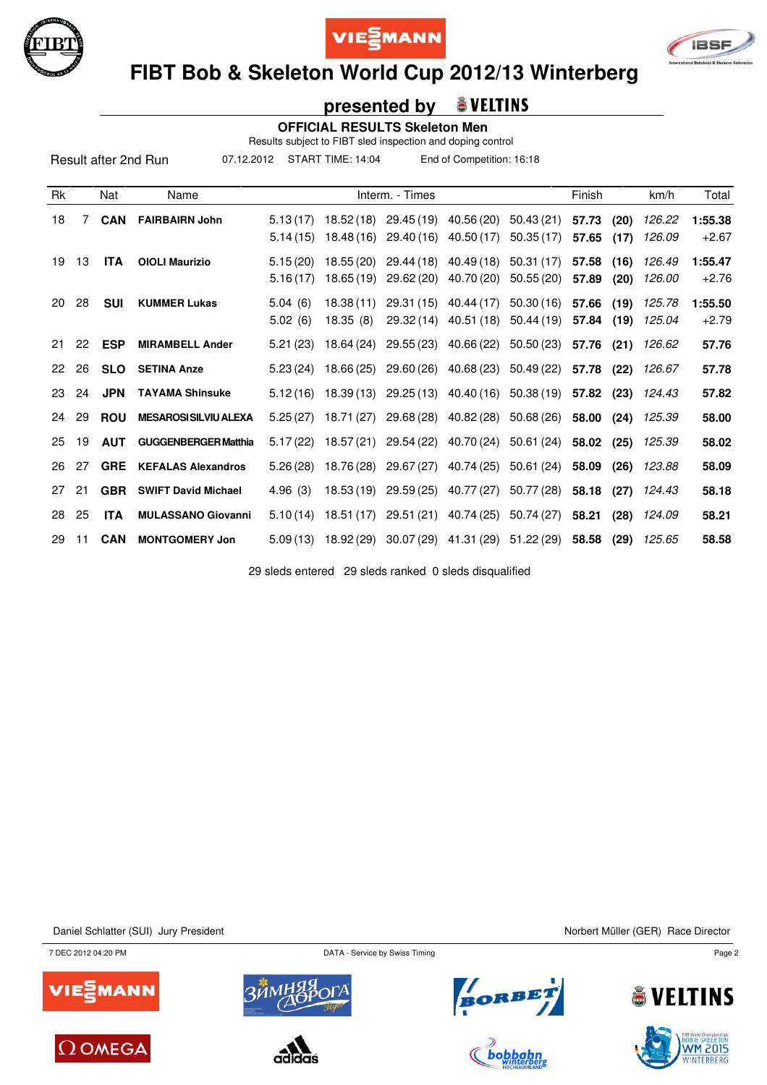





# **FIBT Bob & Skeleton World Cup 2012/13 Winterberg**

### **presented by**

 **OFFICIAL RESULTS Skeleton Men**

Results subject to FIBT sled inspection and doping control

07.12.2012 START TIME: 14:04 End of Competition: 16:18

| Rk           |    | Nat        | Name                         |                      |                          | Interm. - Times          |                                  |                                  | Finish         |              | km/h             | Total              |
|--------------|----|------------|------------------------------|----------------------|--------------------------|--------------------------|----------------------------------|----------------------------------|----------------|--------------|------------------|--------------------|
| 18           | 7  | <b>CAN</b> | <b>FAIRBAIRN John</b>        | 5.13(17)<br>5.14(15) | 18.52 (18)<br>18.48 (16) | 29.45 (19)<br>29.40 (16) | 40.56 (20)<br>40.50 (17)         | 50.43 (21)<br>50.35(17)          | 57.73<br>57.65 | (20)<br>(17) | 126.22<br>126.09 | 1:55.38<br>$+2.67$ |
| 19           | 13 | <b>ITA</b> | <b>OIOLI Maurizio</b>        | 5.15(20)<br>5.16(17) | 18.55(20)<br>18.65(19)   | 29.44 (18)<br>29.62 (20) | 40.49 (18)<br>40.70 (20)         | 50.31 (17)<br>50.55(20)          | 57.58<br>57.89 | (16)<br>(20) | 126.49<br>126.00 | 1:55.47<br>$+2.76$ |
| 20           | 28 | <b>SUI</b> | <b>KUMMER Lukas</b>          | 5.04(6)<br>5.02(6)   | 18.38(11)<br>18.35(8)    | 29.31 (15)<br>29.32 (14) | 40.44 (17)<br>40.51 (18)         | 50.30(16)<br>50.44 (19)          | 57.66<br>57.84 | (19)<br>(19) | 125.78<br>125.04 | 1:55.50<br>$+2.79$ |
| 21           | 22 | <b>ESP</b> | <b>MIRAMBELL Ander</b>       | 5.21(23)             | 18.64 (24)               |                          |                                  | 29.55 (23) 40.66 (22) 50.50 (23) | 57.76          | (21)         | 126.62           | 57.76              |
| $22^{\circ}$ | 26 | <b>SLO</b> | <b>SETINA Anze</b>           | 5.23(24)             | 18.66 (25)               |                          |                                  | 29.60 (26) 40.68 (23) 50.49 (22) | 57.78          | (22)         | 126.67           | 57.78              |
| 23           | 24 | <b>JPN</b> | <b>TAYAMA Shinsuke</b>       | 5.12(16)             | 18.39 (13)               |                          |                                  | 29.25 (13) 40.40 (16) 50.38 (19) | 57.82          | (23)         | 124.43           | 57.82              |
| 24           | 29 | <b>ROU</b> | <b>MESAROSI SILVIU ALEXA</b> |                      | $5.25(27)$ 18.71(27)     |                          |                                  | 29.68 (28) 40.82 (28) 50.68 (26) | 58.00          | (24)         | 125.39           | 58.00              |
| 25           | 19 | <b>AUT</b> | <b>GUGGENBERGER Matthia</b>  | 5.17(22)             | 18.57 (21)               | 29.54 (22)               | 40.70 (24)                       | 50.61 (24)                       | 58.02          | (25)         | 125.39           | 58.02              |
| 26           | 27 | <b>GRE</b> | <b>KEFALAS Alexandros</b>    | 5.26(28)             | 18.76 (28)               |                          |                                  | 29.67 (27) 40.74 (25) 50.61 (24) | 58.09          | (26)         | 123.88           | 58.09              |
| 27           | 21 | <b>GBR</b> | <b>SWIFT David Michael</b>   | 4.96(3)              | 18.53 (19)               | 29.59 (25)               | 40.77 (27)                       | 50.77 (28)                       | 58.18          | (27)         | 124.43           | 58.18              |
| 28           | 25 | <b>ITA</b> | <b>MULASSANO Giovanni</b>    | 5.10(14)             | 18.51 (17)               |                          | 29.51 (21) 40.74 (25) 50.74 (27) |                                  | 58.21          | (28)         | 124.09           | 58.21              |
| 29           | 11 | <b>CAN</b> | <b>MONTGOMERY Jon</b>        | 5.09(13)             | 18.92 (29)               |                          |                                  | 30.07 (29) 41.31 (29) 51.22 (29) | 58.58          | (29)         | 125.65           | 58.58              |

29 sleds entered 29 sleds ranked 0 sleds disqualified

Daniel Schlatter (SUI) Jury President Nuller (GER) Race Director

7 DEC 2012 04:20 PM DATA - Service by Swiss Timing Page 2















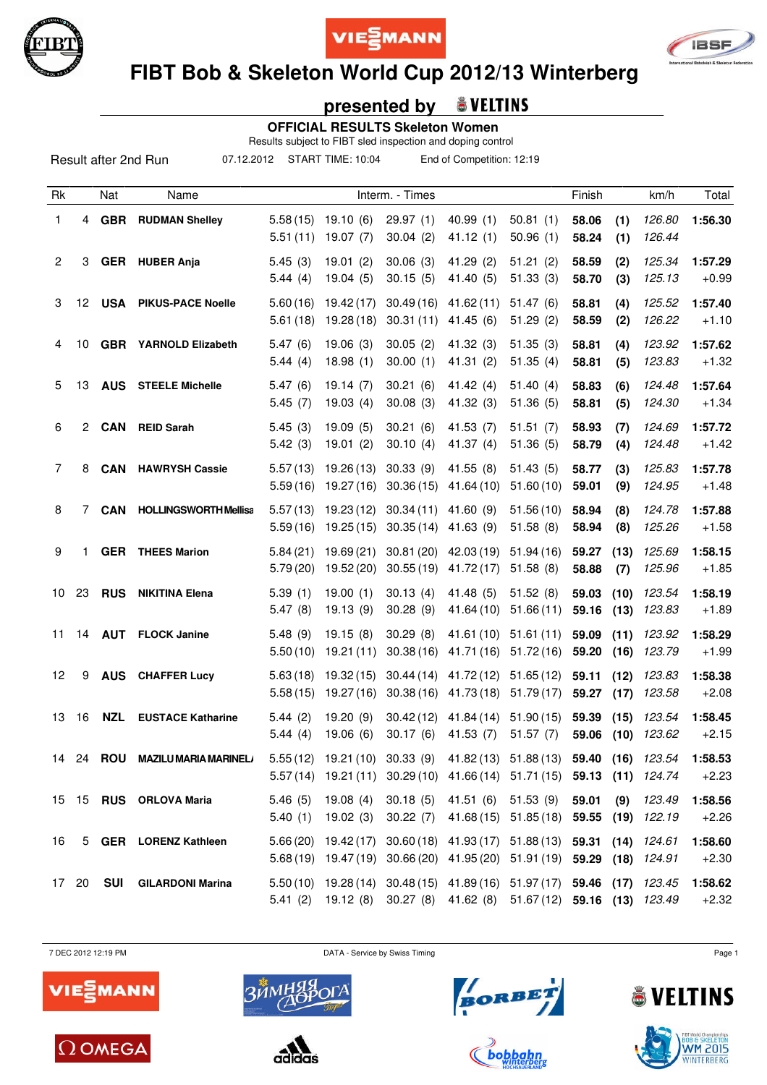





# **FIBT Bob & Skeleton World Cup 2012/13 Winterberg**

## **presented by**

 **OFFICIAL RESULTS Skeleton Women**

Results subject to FIBT sled inspection and doping control

07.12.2012 START TIME: 10:04 End of Competition: 12:19

| Rk             |                  | Nat           | Name                         |                      |                          | Interm. - Times              |                          |                                                                                                                                                    | Finish              |              | km/h             | Total              |
|----------------|------------------|---------------|------------------------------|----------------------|--------------------------|------------------------------|--------------------------|----------------------------------------------------------------------------------------------------------------------------------------------------|---------------------|--------------|------------------|--------------------|
| 1              | 4                | <b>GBR</b>    | <b>RUDMAN Shelley</b>        | 5.58(15)<br>5.51(11) | 19.10(6)<br>19.07(7)     | 29.97(1)<br>30.04(2)         | 40.99(1)<br>41.12(1)     | 50.81(1)<br>50.96(1)                                                                                                                               | 58.06<br>58.24      | (1)<br>(1)   | 126.80<br>126.44 | 1:56.30            |
| $\overline{c}$ | 3                |               | <b>GER</b> HUBER Anja        | 5.45(3)<br>5.44(4)   | 19.01(2)<br>19.04(5)     | 30.06(3)<br>30.15(5)         | 41.29 (2)<br>41.40 (5)   | 51.21(2)<br>51.33(3)                                                                                                                               | 58.59<br>58.70      | (2)<br>(3)   | 125.34<br>125.13 | 1:57.29<br>$+0.99$ |
| 3              | 12 <sup>12</sup> | <b>USA</b>    | <b>PIKUS-PACE Noelle</b>     | 5.60(16)<br>5.61(18) | 19.42(17)<br>19.28(18)   | 30.49(16)<br>30.31(11)       | 41.62(11)<br>41.45(6)    | 51.47(6)<br>51.29(2)                                                                                                                               | 58.81<br>58.59      | (4)<br>(2)   | 125.52<br>126.22 | 1:57.40<br>$+1.10$ |
| 4              | 10               |               | <b>GBR</b> YARNOLD Elizabeth | 5.47(6)<br>5.44(4)   | 19.06(3)<br>18.98(1)     | 30.05(2)<br>30.00(1)         | 41.32 (3)<br>41.31(2)    | 51.35(3)<br>51.35(4)                                                                                                                               | 58.81<br>58.81      | (4)<br>(5)   | 123.92<br>123.83 | 1:57.62<br>$+1.32$ |
| 5              | 13               | <b>AUS</b>    | <b>STEELE Michelle</b>       | 5.47(6)<br>5.45(7)   | 19.14(7)<br>19.03(4)     | 30.21(6)<br>30.08(3)         | 41.42 $(4)$<br>41.32 (3) | 51.40(4)<br>51.36(5)                                                                                                                               | 58.83<br>58.81      | (6)<br>(5)   | 124.48<br>124.30 | 1:57.64<br>$+1.34$ |
| 6              | 2                | CAN           | <b>REID Sarah</b>            | 5.45(3)<br>5.42(3)   | 19.09(5)<br>19.01(2)     | 30.21(6)<br>30.10(4)         | 41.53 (7)<br>41.37 $(4)$ | 51.51(7)<br>51.36(5)                                                                                                                               | 58.93<br>58.79      | (7)<br>(4)   | 124.69<br>124.48 | 1:57.72<br>$+1.42$ |
| 7              | 8                | <b>CAN</b>    | <b>HAWRYSH Cassie</b>        | 5.57(13)<br>5.59(16) | 19.26 (13)<br>19.27 (16) | 30.33(9)<br>30.36(15)        | 41.55(8)<br>41.64 (10)   | 51.43(5)<br>51.60(10)                                                                                                                              | 58.77<br>59.01      | (3)<br>(9)   | 125.83<br>124.95 | 1:57.78<br>$+1.48$ |
| 8              | 7                | <b>CAN</b>    | <b>HOLLINGSWORTH Mellisa</b> | 5.57(13)<br>5.59(16) | 19.23 (12)<br>19.25 (15) | 30.34(11)<br>30.35(14)       | 41.60(9)<br>41.63(9)     | 51.56(10)<br>51.58(8)                                                                                                                              | 58.94<br>58.94      | (8)<br>(8)   | 124.78<br>125.26 | 1:57.88<br>$+1.58$ |
| 9              | 1                |               | <b>GER</b> THEES Marion      | 5.84(21)<br>5.79(20) | 19.69(21)<br>19.52 (20)  | 30.81(20)<br>30.55(19)       | 42.03 (19)<br>41.72(17)  | 51.94(16)<br>51.58(8)                                                                                                                              | 59.27<br>58.88      | (13)<br>(7)  | 125.69<br>125.96 | 1:58.15<br>$+1.85$ |
| 10             | 23               | <b>RUS</b>    | <b>NIKITINA Elena</b>        | 5.39(1)<br>5.47(8)   | 19.00(1)<br>19.13(9)     | 30.13(4)<br>30.28(9)         | 41.48 (5)<br>41.64 (10)  | 51.52(8)<br>51.66(11)                                                                                                                              | 59.03<br>59.16      | (10)<br>(13) | 123.54<br>123.83 | 1:58.19<br>$+1.89$ |
| 11             | 14               | <b>AUT</b>    | <b>FLOCK Janine</b>          | 5.48(9)<br>5.50(10)  | 19.15(8)<br>19.21(11)    | 30.29(8)<br>30.38(16)        | 41.61 (10)<br>41.71 (16) | 51.61(11)<br>51.72(16)                                                                                                                             | 59.09<br>59.20      | (11)<br>(16) | 123.92<br>123.79 | 1:58.29<br>$+1.99$ |
| 12             | 9                | <b>AUS</b>    | <b>CHAFFER Lucy</b>          | 5.63(18)<br>5.58(15) | 19.32 (15)<br>19.27 (16) | 30.44(14)<br>30.38(16)       | 41.72 (12)<br>41.73 (18) | 51.65(12)<br>51.79(17)                                                                                                                             | 59.11<br>59.27 (17) | (12)         | 123.83<br>123.58 | 1:58.38<br>$+2.08$ |
| 13             | 16               | <b>NZL</b>    | <b>EUSTACE Katharine</b>     | 5.44(2)<br>5.44(4)   | 19.20(9)<br>19.06(6)     | 30.42(12)<br>30.17(6)        | 41.84 (14)<br>41.53(7)   | 51.90(15)<br>51.57(7)                                                                                                                              | 59.39<br>59.06      | (15)<br>(10) | 123.54<br>123.62 | 1:58.45<br>$+2.15$ |
| 14             |                  | 24 <b>ROU</b> | <b>MAZILU MARIA MARINEL/</b> |                      |                          |                              |                          | 5.55 (12) 19.21 (10) 30.33 (9) 41.82 (13) 51.88 (13) 59.40 (16) 123.54<br>5.57 (14) 19.21 (11) 30.29 (10) 41.66 (14) 51.71 (15) 59.13 (11) 124.74  |                     |              |                  | 1:58.53<br>$+2.23$ |
|                |                  |               | 15 15 RUS ORLOVA Maria       | 5.46(5)              |                          | 5.40 (1) 19.02 (3) 30.22 (7) |                          | 19.08 (4) 30.18 (5) 41.51 (6) 51.53 (9) 59.01<br>41.68 (15) 51.85 (18) 59.55 (19) 122.19                                                           |                     | (9)          | 123.49           | 1:58.56<br>$+2.26$ |
| 16             |                  |               | 5 GER LORENZ Kathleen        |                      |                          |                              |                          | 5.66 (20) 19.42 (17) 30.60 (18) 41.93 (17) 51.88 (13) 59.31 (14) 124.61<br>5.68 (19) 19.47 (19) 30.66 (20) 41.95 (20) 51.91 (19) 59.29 (18) 124.91 |                     |              |                  | 1:58.60<br>$+2.30$ |
|                | 17 20            | SUI           | <b>GILARDONI Marina</b>      |                      |                          |                              |                          | 5.50 (10) 19.28 (14) 30.48 (15) 41.89 (16) 51.97 (17) 59.46 (17) 123.45<br>5.41 (2) 19.12 (8) 30.27 (8) 41.62 (8) 51.67 (12) 59.16 (13) 123.49     |                     |              |                  | 1:58.62<br>$+2.32$ |

7 DEC 2012 12:19 PM DATA - Service by Swiss Timing Page 1